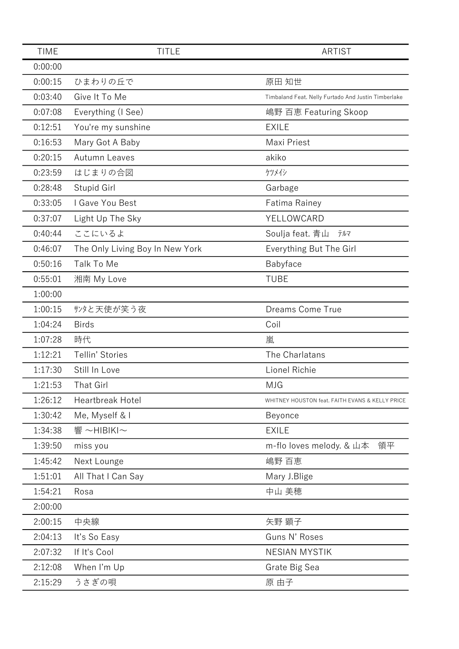| <b>TIME</b> | <b>TITLE</b>                    | <b>ARTIST</b>                                       |
|-------------|---------------------------------|-----------------------------------------------------|
| 0:00:00     |                                 |                                                     |
| 0:00:15     | ひまわりの丘で                         | 原田 知世                                               |
| 0:03:40     | Give It To Me                   | Timbaland Feat. Nelly Furtado And Justin Timberlake |
| 0:07:08     | Everything (I See)              | 嶋野 百恵 Featuring Skoop                               |
| 0:12:51     | You're my sunshine              | <b>EXILE</b>                                        |
| 0:16:53     | Mary Got A Baby                 | Maxi Priest                                         |
| 0:20:15     | <b>Autumn Leaves</b>            | akiko                                               |
| 0:23:59     | はじまりの合図                         | ケツメイシ                                               |
| 0:28:48     | Stupid Girl                     | Garbage                                             |
| 0:33:05     | I Gave You Best                 | Fatima Rainey                                       |
| 0:37:07     | Light Up The Sky                | YELLOWCARD                                          |
| 0:40:44     | ここにいるよ                          | Soulja feat. 青山<br>テルマ                              |
| 0:46:07     | The Only Living Boy In New York | Everything But The Girl                             |
| 0:50:16     | Talk To Me                      | Babyface                                            |
| 0:55:01     | 湘南 My Love                      | <b>TUBE</b>                                         |
| 1:00:00     |                                 |                                                     |
| 1:00:15     | サンタと天使が笑う夜                      | Dreams Come True                                    |
| 1:04:24     | <b>Birds</b>                    | Coil                                                |
| 1:07:28     | 時代                              | 嵐                                                   |
| 1:12:21     | Tellin' Stories                 | The Charlatans                                      |
| 1:17:30     | Still In Love                   | Lionel Richie                                       |
| 1:21:53     | <b>That Girl</b>                | <b>MJG</b>                                          |
| 1:26:12     | Heartbreak Hotel                | WHITNEY HOUSTON feat. FAITH EVANS & KELLY PRICE     |
| 1:30:42     | Me, Myself & I                  | Beyonce                                             |
| 1:34:38     | 響~HIBIKI~                       | <b>EXILE</b>                                        |
| 1:39:50     | miss you                        | m-flo loves melody. & 山本<br>領平                      |
| 1:45:42     | Next Lounge                     | 嶋野 百恵                                               |
| 1:51:01     | All That I Can Say              | Mary J.Blige                                        |
| 1:54:21     | Rosa                            | 中山 美穂                                               |
| 2:00:00     |                                 |                                                     |
| 2:00:15     | 中央線                             | 矢野 顕子                                               |
| 2:04:13     | It's So Easy                    | Guns N' Roses                                       |
| 2:07:32     | If It's Cool                    | <b>NESIAN MYSTIK</b>                                |
| 2:12:08     | When I'm Up                     | Grate Big Sea                                       |
| 2:15:29     | うさぎの唄                           | 原 由子                                                |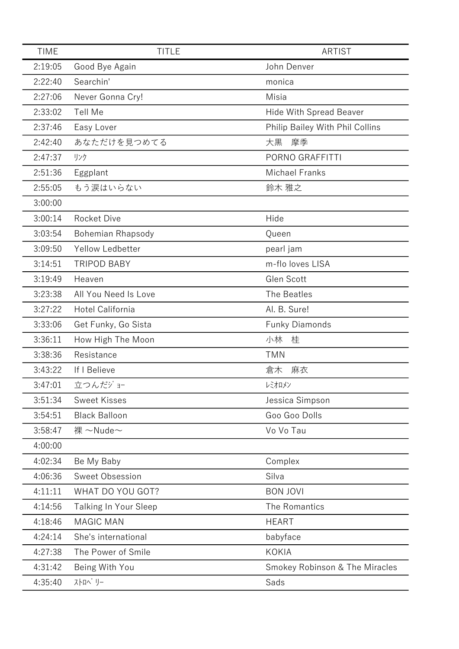| <b>TIME</b> | <b>TITLE</b>             | <b>ARTIST</b>                   |
|-------------|--------------------------|---------------------------------|
| 2:19:05     | Good Bye Again           | John Denver                     |
| 2:22:40     | Searchin'                | monica                          |
| 2:27:06     | Never Gonna Cry!         | Misia                           |
| 2:33:02     | Tell Me                  | <b>Hide With Spread Beaver</b>  |
| 2:37:46     | Easy Lover               | Philip Bailey With Phil Collins |
| 2:42:40     | あなただけを見つめてる              | 大黒<br>摩季                        |
| 2:47:37     | リンク                      | PORNO GRAFFITTI                 |
| 2:51:36     | Eggplant                 | <b>Michael Franks</b>           |
| 2:55:05     | もう涙はいらない                 | 鈴木 雅之                           |
| 3:00:00     |                          |                                 |
| 3:00:14     | <b>Rocket Dive</b>       | Hide                            |
| 3:03:54     | <b>Bohemian Rhapsody</b> | Queen                           |
| 3:09:50     | <b>Yellow Ledbetter</b>  | pearl jam                       |
| 3:14:51     | <b>TRIPOD BABY</b>       | m-flo loves LISA                |
| 3:19:49     | Heaven                   | Glen Scott                      |
| 3:23:38     | All You Need Is Love     | The Beatles                     |
| 3:27:22     | Hotel California         | Al. B. Sure!                    |
| 3:33:06     | Get Funky, Go Sista      | <b>Funky Diamonds</b>           |
| 3:36:11     | How High The Moon        | 小林<br>桂                         |
| 3:38:36     | Resistance               | <b>TMN</b>                      |
| 3:43:22     | If I Believe             | 麻衣<br>倉木                        |
| 3:47:01     | 立つんだジョー                  | レミオロメン                          |
| 3:51:34     | <b>Sweet Kisses</b>      | Jessica Simpson                 |
| 3:54:51     | <b>Black Balloon</b>     | Goo Goo Dolls                   |
| 3:58:47     | 裸 ~Nude~                 | Vo Vo Tau                       |
| 4:00:00     |                          |                                 |
| 4:02:34     | Be My Baby               | Complex                         |
| 4:06:36     | Sweet Obsession          | Silva                           |
| 4:11:11     | WHAT DO YOU GOT?         | <b>BON JOVI</b>                 |
| 4:14:56     | Talking In Your Sleep    | The Romantics                   |
| 4:18:46     | <b>MAGIC MAN</b>         | <b>HEART</b>                    |
| 4:24:14     | She's international      | babyface                        |
| 4:27:38     | The Power of Smile       | <b>KOKIA</b>                    |
| 4:31:42     | Being With You           | Smokey Robinson & The Miracles  |
| 4:35:40     | ストロヘ゛リー                  | Sads                            |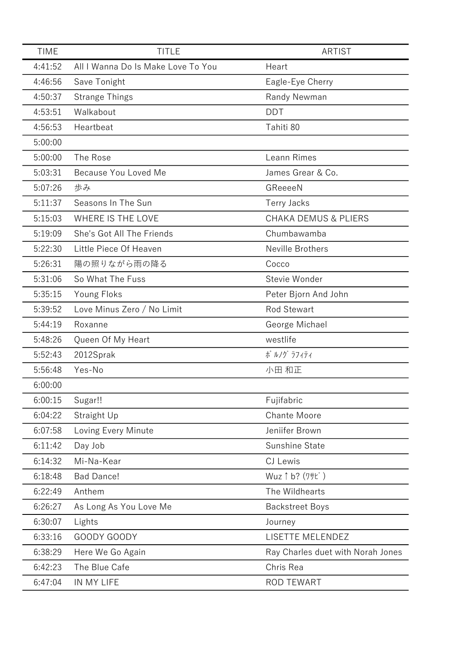| <b>TIME</b> | <b>TITLE</b>                       | <b>ARTIST</b>                     |
|-------------|------------------------------------|-----------------------------------|
| 4:41:52     | All I Wanna Do Is Make Love To You | Heart                             |
| 4:46:56     | Save Tonight                       | Eagle-Eye Cherry                  |
| 4:50:37     | <b>Strange Things</b>              | Randy Newman                      |
| 4:53:51     | Walkabout                          | <b>DDT</b>                        |
| 4:56:53     | Heartbeat                          | Tahiti 80                         |
| 5:00:00     |                                    |                                   |
| 5:00:00     | The Rose                           | Leann Rimes                       |
| 5:03:31     | Because You Loved Me               | James Grear & Co.                 |
| 5:07:26     | 歩み                                 | GReeeeN                           |
| 5:11:37     | Seasons In The Sun                 | <b>Terry Jacks</b>                |
| 5:15:03     | WHERE IS THE LOVE                  | <b>CHAKA DEMUS &amp; PLIERS</b>   |
| 5:19:09     | She's Got All The Friends          | Chumbawamba                       |
| 5:22:30     | Little Piece Of Heaven             | Neville Brothers                  |
| 5:26:31     | 陽の照りながら雨の降る                        | Cocco                             |
| 5:31:06     | So What The Fuss                   | Stevie Wonder                     |
| 5:35:15     | Young Floks                        | Peter Bjorn And John              |
| 5:39:52     | Love Minus Zero / No Limit         | <b>Rod Stewart</b>                |
| 5:44:19     | Roxanne                            | George Michael                    |
| 5:48:26     | Queen Of My Heart                  | westlife                          |
| 5:52:43     | 2012Sprak                          | ポ ルノグ ラフィティ                       |
| 5:56:48     | Yes-No                             | 小田 和正                             |
| 6:00:00     |                                    |                                   |
| 6:00:15     | Sugar!!                            | Fujifabric                        |
| 6:04:22     | Straight Up                        | <b>Chante Moore</b>               |
| 6:07:58     | Loving Every Minute                | Jeniifer Brown                    |
| 6:11:42     | Day Job                            | Sunshine State                    |
| 6:14:32     | Mi-Na-Kear                         | CJ Lewis                          |
| 6:18:48     | <b>Bad Dance!</b>                  | Wuz ↑ b? (ワサビ)                    |
| 6:22:49     | Anthem                             | The Wildhearts                    |
| 6:26:27     | As Long As You Love Me             | <b>Backstreet Boys</b>            |
| 6:30:07     | Lights                             | Journey                           |
| 6:33:16     | GOODY GOODY                        | LISETTE MELENDEZ                  |
| 6:38:29     | Here We Go Again                   | Ray Charles duet with Norah Jones |
| 6:42:23     | The Blue Cafe                      | Chris Rea                         |
| 6:47:04     | IN MY LIFE                         | <b>ROD TEWART</b>                 |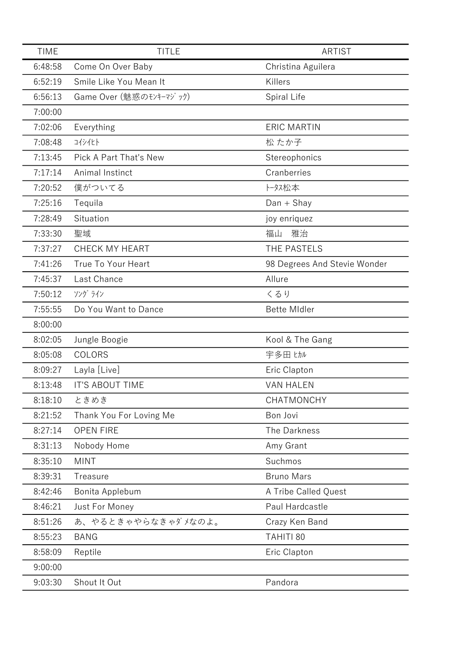| <b>TIME</b> | <b>TITLE</b>            | <b>ARTIST</b>                |
|-------------|-------------------------|------------------------------|
| 6:48:58     | Come On Over Baby       | Christina Aguilera           |
| 6:52:19     | Smile Like You Mean It  | Killers                      |
| 6:56:13     | Game Over (魅惑のモンキーマジック) | Spiral Life                  |
| 7:00:00     |                         |                              |
| 7:02:06     | Everything              | <b>ERIC MARTIN</b>           |
| 7:08:48     | コイシイヒト                  | 松 たか子                        |
| 7:13:45     | Pick A Part That's New  | Stereophonics                |
| 7:17:14     | Animal Instinct         | Cranberries                  |
| 7:20:52     | 僕がついてる                  | トータス松本                       |
| 7:25:16     | Tequila                 | $Dan + Shay$                 |
| 7:28:49     | Situation               | joy enriquez                 |
| 7:33:30     | 聖域                      | 雅治<br>福山                     |
| 7:37:27     | CHECK MY HEART          | THE PASTELS                  |
| 7:41:26     | True To Your Heart      | 98 Degrees And Stevie Wonder |
| 7:45:37     | Last Chance             | Allure                       |
| 7:50:12     | ソング ライン                 | くるり                          |
| 7:55:55     | Do You Want to Dance    | <b>Bette MIdler</b>          |
| 8:00:00     |                         |                              |
| 8:02:05     | Jungle Boogie           | Kool & The Gang              |
| 8:05:08     | COLORS                  | 宇多田 ヒカル                      |
| 8:09:27     | Layla [Live]            | Eric Clapton                 |
| 8:13:48     | <b>IT'S ABOUT TIME</b>  | <b>VAN HALEN</b>             |
| 8:18:10     | ときめき                    | CHATMONCHY                   |
| 8:21:52     | Thank You For Loving Me | Bon Jovi                     |
| 8:27:14     | <b>OPEN FIRE</b>        | The Darkness                 |
| 8:31:13     | Nobody Home             | Amy Grant                    |
| 8:35:10     | <b>MINT</b>             | Suchmos                      |
| 8:39:31     | Treasure                | <b>Bruno Mars</b>            |
| 8:42:46     | Bonita Applebum         | A Tribe Called Quest         |
| 8:46:21     | Just For Money          | Paul Hardcastle              |
| 8:51:26     | あ、やるときゃやらなきゃダメなのよ。      | Crazy Ken Band               |
| 8:55:23     | <b>BANG</b>             | TAHITI 80                    |
| 8:58:09     | Reptile                 | Eric Clapton                 |
| 9:00:00     |                         |                              |
| 9:03:30     | Shout It Out            | Pandora                      |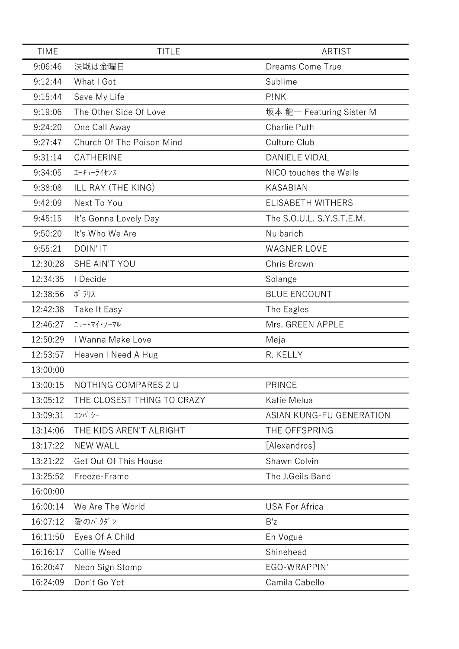| <b>TIME</b> | <b>TITLE</b>               | <b>ARTIST</b>                   |
|-------------|----------------------------|---------------------------------|
| 9:06:46     | 決戦は金曜日                     | Dreams Come True                |
| 9:12:44     | What I Got                 | Sublime                         |
| 9:15:44     | Save My Life               | P!NK                            |
| 9:19:06     | The Other Side Of Love     | 坂本龍– Featuring Sister M         |
| 9:24:20     | One Call Away              | <b>Charlie Puth</b>             |
| 9:27:47     | Church Of The Poison Mind  | Culture Club                    |
| 9:31:14     | CATHERINE                  | <b>DANIELE VIDAL</b>            |
| 9:34:05     | エーキューライセンス                 | NICO touches the Walls          |
| 9:38:08     | ILL RAY (THE KING)         | <b>KASABIAN</b>                 |
| 9:42:09     | Next To You                | <b>ELISABETH WITHERS</b>        |
| 9:45:15     | It's Gonna Lovely Day      | The S.O.U.L. S.Y.S.T.E.M.       |
| 9:50:20     | It's Who We Are            | Nulbarich                       |
| 9:55:21     | <b>DOIN' IT</b>            | <b>WAGNER LOVE</b>              |
| 12:30:28    | SHE AIN'T YOU              | Chris Brown                     |
| 12:34:35    | I Decide                   | Solange                         |
| 12:38:56    | ポラリス                       | <b>BLUE ENCOUNT</b>             |
| 12:42:38    | Take It Easy               | The Eagles                      |
| 12:46:27    | ニュー・マイ・ノーマル                | Mrs. GREEN APPLE                |
| 12:50:29    | I Wanna Make Love          | Meja                            |
| 12:53:57    | Heaven I Need A Hug        | R. KELLY                        |
| 13:00:00    |                            |                                 |
| 13:00:15    | NOTHING COMPARES 2 U       | <b>PRINCE</b>                   |
| 13:05:12    | THE CLOSEST THING TO CRAZY | Katie Melua                     |
| 13:09:31    | エンパシー                      | <b>ASIAN KUNG-FU GENERATION</b> |
| 13:14:06    | THE KIDS AREN'T ALRIGHT    | THE OFFSPRING                   |
| 13:17:22    | <b>NEW WALL</b>            | [Alexandros]                    |
| 13:21:22    | Get Out Of This House      | Shawn Colvin                    |
| 13:25:52    | Freeze-Frame               | The J.Geils Band                |
| 16:00:00    |                            |                                 |
| 16:00:14    | We Are The World           | <b>USA For Africa</b>           |
| 16:07:12    | 愛のバクダン                     | B'z                             |
| 16:11:50    | Eyes Of A Child            | En Vogue                        |
| 16:16:17    | Collie Weed                | Shinehead                       |
| 16:20:47    | Neon Sign Stomp            | EGO-WRAPPIN'                    |
| 16:24:09    | Don't Go Yet               | Camila Cabello                  |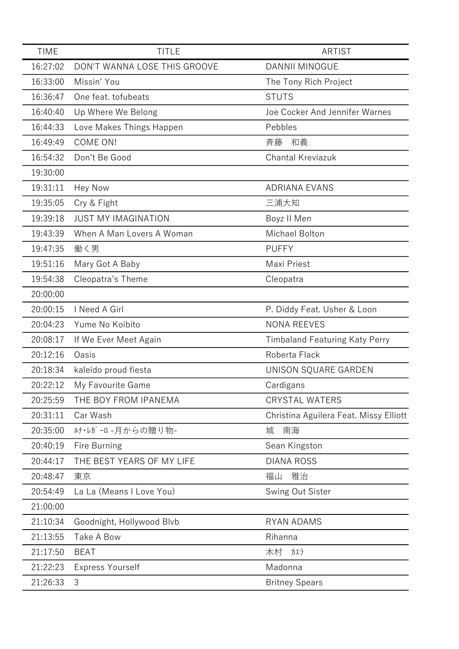| <b>TIME</b> | <b>TITLE</b>                 | <b>ARTIST</b>                          |
|-------------|------------------------------|----------------------------------------|
| 16:27:02    | DON'T WANNA LOSE THIS GROOVE | DANNII MINOGUE                         |
| 16:33:00    | Missin' You                  | The Tony Rich Project                  |
| 16:36:47    | One feat. tofubeats          | <b>STUTS</b>                           |
| 16:40:40    | Up Where We Belong           | Joe Cocker And Jennifer Warnes         |
| 16:44:33    | Love Makes Things Happen     | Pebbles                                |
| 16:49:49    | COME ON!                     | 斉藤<br>和義                               |
| 16:54:32    | Don't Be Good                | <b>Chantal Kreviazuk</b>               |
| 19:30:00    |                              |                                        |
| 19:31:11    | <b>Hey Now</b>               | <b>ADRIANA EVANS</b>                   |
| 19:35:05    | Cry & Fight                  | 三浦大知                                   |
| 19:39:18    | <b>JUST MY IMAGINATION</b>   | Boyz II Men                            |
| 19:43:39    | When A Man Lovers A Woman    | Michael Bolton                         |
| 19:47:35    | 働く男                          | <b>PUFFY</b>                           |
| 19:51:16    | Mary Got A Baby              | Maxi Priest                            |
| 19:54:38    | Cleopatra's Theme            | Cleopatra                              |
| 20:00:00    |                              |                                        |
| 20:00:15    | I Need A Girl                | P. Diddy Feat. Usher & Loon            |
| 20:04:23    | Yume No Koibito              | <b>NONA REEVES</b>                     |
| 20:08:17    | If We Ever Meet Again        | <b>Timbaland Featuring Katy Perry</b>  |
| 20:12:16    | Oasis                        | Roberta Flack                          |
| 20:18:34    | kaleido proud fiesta         | UNISON SQUARE GARDEN                   |
| 20:22:12    | My Favourite Game            | Cardigans                              |
| 20:25:59    | THE BOY FROM IPANEMA         | <b>CRYSTAL WATERS</b>                  |
| 20:31:11    | Car Wash                     | Christina Aguilera Feat. Missy Elliott |
| 20:35:00    | ルナ・レガーロ -月からの贈り物-            | 城<br>南海                                |
| 20:40:19    | Fire Burning                 | Sean Kingston                          |
| 20:44:17    | THE BEST YEARS OF MY LIFE    | <b>DIANA ROSS</b>                      |
| 20:48:47    | 東京                           | 雅治<br>福山                               |
| 20:54:49    | La La (Means I Love You)     | Swing Out Sister                       |
| 21:00:00    |                              |                                        |
| 21:10:34    | Goodnight, Hollywood Blvb    | <b>RYAN ADAMS</b>                      |
| 21:13:55    | Take A Bow                   | Rihanna                                |
| 21:17:50    | <b>BEAT</b>                  | 木村<br>カエラ                              |
| 21:22:23    | <b>Express Yourself</b>      | Madonna                                |
| 21:26:33    | 3                            | <b>Britney Spears</b>                  |